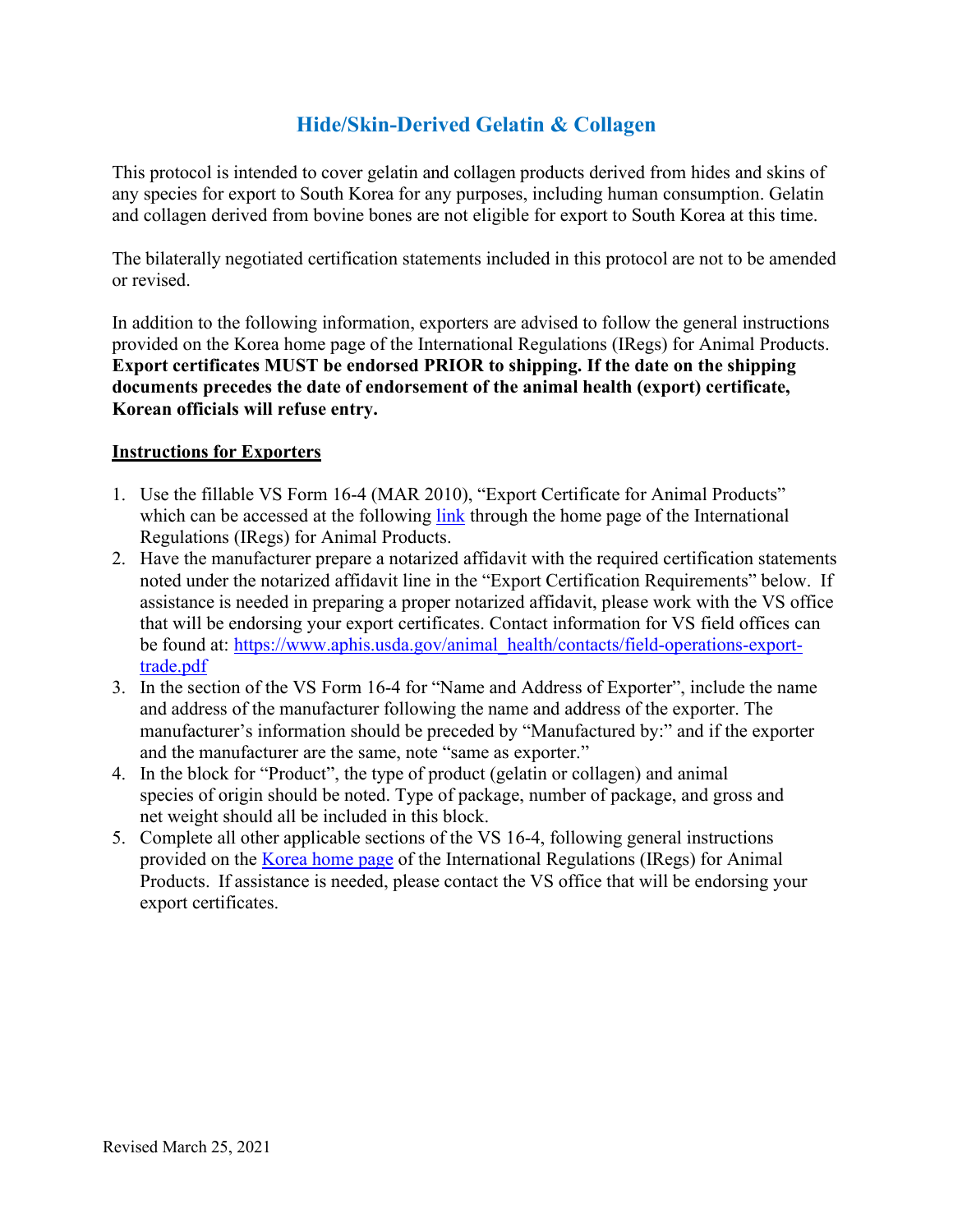## **Hide/Skin-Derived Gelatin & Collagen**

This protocol is intended to cover gelatin and collagen products derived from hides and skins of any species for export to South Korea for any purposes, including human consumption. Gelatin and collagen derived from bovine bones are not eligible for export to South Korea at this time.

The bilaterally negotiated certification statements included in this protocol are not to be amended or revised.

In addition to the following information, exporters are advised to follow the general instructions provided on the Korea home page of the International Regulations (IRegs) for Animal Products. **Export certificates MUST be endorsed PRIOR to shipping. If the date on the shipping documents precedes the date of endorsement of the animal health (export) certificate, Korean officials will refuse entry.**

## **Instructions for Exporters**

- 1. Use the fillable VS Form 16-4 (MAR 2010), "Export Certificate for Animal Products" which can be accessed at the following [link](https://www.aphis.usda.gov/aphis/ourfocus/animalhealth/export/iregs-for-animal-product-exports/ct_iregs_animal_product_exports_home) through the home page of the International Regulations (IRegs) for Animal Products.
- 2. Have the manufacturer prepare a notarized affidavit with the required certification statements noted under the notarized affidavit line in the "Export Certification Requirements" below. If assistance is needed in preparing a proper notarized affidavit, please work with the VS office that will be endorsing your export certificates. Contact information for VS field offices can be found at: [https://www.aphis.usda.gov/animal\\_health/contacts/field-operations-export](https://www.aphis.usda.gov/animal_health/contacts/field-operations-export-trade.pdf)[trade.pdf](https://www.aphis.usda.gov/animal_health/contacts/field-operations-export-trade.pdf)
- 3. In the section of the VS Form 16-4 for "Name and Address of Exporter", include the name and address of the manufacturer following the name and address of the exporter. The manufacturer's information should be preceded by "Manufactured by:" and if the exporter and the manufacturer are the same, note "same as exporter."
- 4. In the block for "Product", the type of product (gelatin or collagen) and animal species of origin should be noted. Type of package, number of package, and gross and net weight should all be included in this block.
- 5. Complete all other applicable sections of the VS 16-4, following general instructions provided on the [Korea home page](https://www.aphis.usda.gov/aphis/ourfocus/animalhealth/export/iregs-for-animal-product-exports/sa_international_regulations/sa_by_country/sa_k/ct_product_korea) of the International Regulations (IRegs) for Animal Products. If assistance is needed, please contact the VS office that will be endorsing your export certificates.